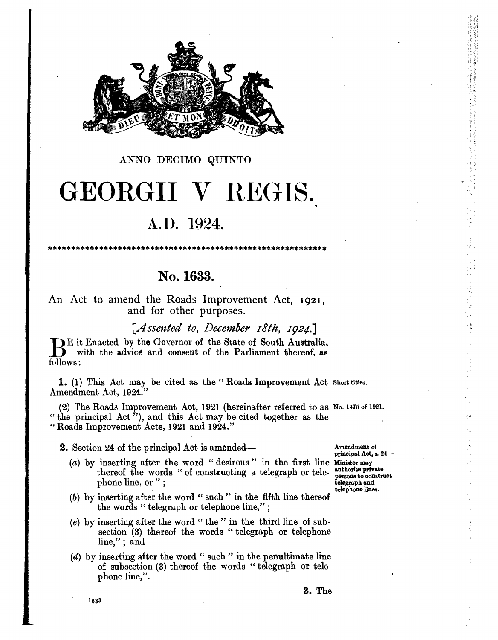

#### ANNO DECIMO QUINTO

# GEORGII V REGIS.

## A.D. 1924.

## No. 1633.

An Act to amend the Roads Improvement Act, 1921. and for other purposes.

[Assented to, December 18th, 1924,]

DE it Enacted by the Governor of the State of South Australia. with the advice and consent of the Parliament thereof, as follows:

1. (1) This Act may be cited as the "Roads Improvement Act Short titles. Amendment Act, 1924."

(2) The Roads Improvement Act, 1921 (hereinafter referred to as No. 1475 of 1921. " the principal  $\text{Act}$ "), and this  $\text{Act}$  may be cited together as the "Roads Improvement Acts, 1921 and 1924."

2. Section 24 of the principal Act is amended—

(a) by inserting after the word "desirous" in the first line Minister may thereof the words "of constructing a telegraph or telephone line, or";

Amendment of principal Act, s. 24authorise private persons to construct telegraph and telephone lines.

- $(b)$  by inserting after the word " such " in the fifth line thereof the words "telegraph or telephone line,";
- $(c)$  by inserting after the word "the" in the third line of subsection (3) thereof the words "telegraph or telephone  $line,$ "; and
- (d) by inserting after the word " such" in the penultimate line of subsection (3) thereof the words "telegraph or telephone line,".

1633